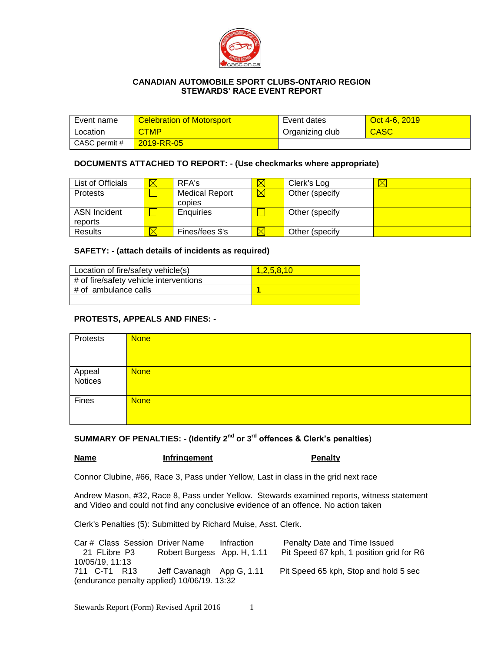

## **CANADIAN AUTOMOBILE SPORT CLUBS-ONTARIO REGION STEWARDS' RACE EVENT REPORT**

| Event name    | <b>Celebration of Motorsport</b> | Event dates     | Oct 4-6, 2019 |
|---------------|----------------------------------|-----------------|---------------|
| Location      | <b>CTMP</b>                      | Organizing club | <b>CASC</b>   |
| CASC permit # | 2019-RR-05                       |                 |               |

### **DOCUMENTS ATTACHED TO REPORT: - (Use checkmarks where appropriate)**

| List of Officials | IX | RFA's                 |             | Clerk's Log     | $\boxtimes$ |
|-------------------|----|-----------------------|-------------|-----------------|-------------|
| <b>Protests</b>   |    | <b>Medical Report</b> | $\boxtimes$ | Other (specify  |             |
|                   |    | copies                |             |                 |             |
| ASN Incident      |    | Enquiries             |             | Other (specify) |             |
| reports           |    |                       |             |                 |             |
| <b>Results</b>    |    | Fines/fees \$'s       |             | Other (specify) |             |

## **SAFETY: - (attach details of incidents as required)**

| Location of fire/safety vehicle(s)     | 1.2.5.8.10 |
|----------------------------------------|------------|
| # of fire/safety vehicle interventions |            |
| # of ambulance calls                   |            |
|                                        |            |

## **PROTESTS, APPEALS AND FINES: -**

| Protests          | <b>None</b> |
|-------------------|-------------|
|                   |             |
|                   |             |
|                   | <b>None</b> |
| Appeal<br>Notices |             |
|                   |             |
| Fines             | <b>None</b> |
|                   |             |
|                   |             |

# **SUMMARY OF PENALTIES: - (Identify 2nd or 3rd offences & Clerk's penalties**)

**Name Infringement Penalty** 

Connor Clubine, #66, Race 3, Pass under Yellow, Last in class in the grid next race

Andrew Mason, #32, Race 8, Pass under Yellow. Stewards examined reports, witness statement and Video and could not find any conclusive evidence of an offence. No action taken

Clerk's Penalties (5): Submitted by Richard Muise, Asst. Clerk.

Car # Class Session Driver Name Infraction Penalty Date and Time Issued 21 FLibre P3 Robert Burgess App. H, 1.11 Pit Speed 67 kph, 1 position grid for R6 10/05/19, 11:13 711 C-T1 R13 Jeff Cavanagh App G, 1.11 Pit Speed 65 kph, Stop and hold 5 sec (endurance penalty applied) 10/06/19. 13:32